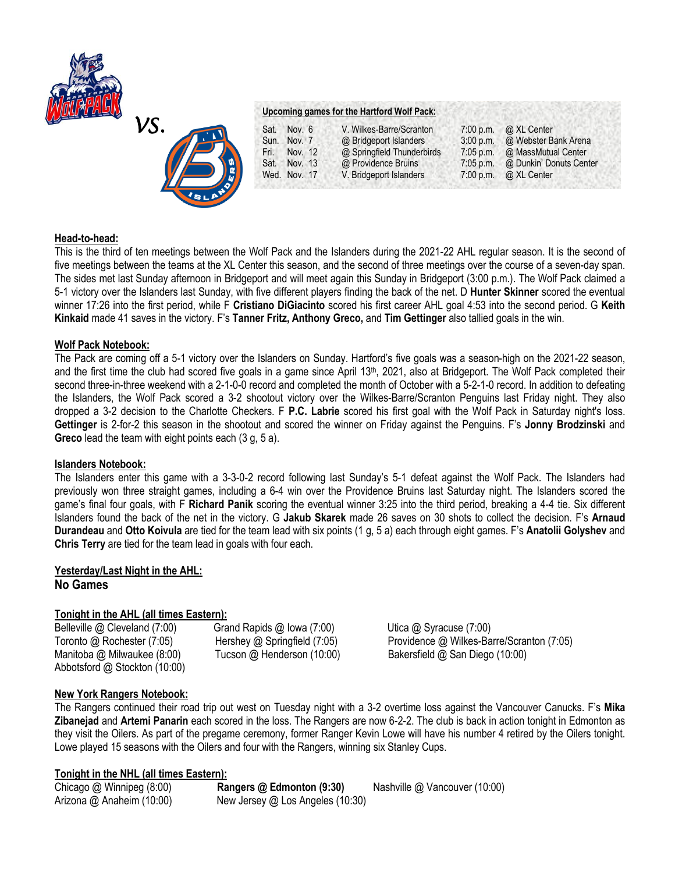



### **Upcoming games for the Hartford Wolf Pack:**

| Sat. | Nov. 6       | V. Wilkes-Barre/Scranton   | $7:00$ p.m. | @ XL Center             |
|------|--------------|----------------------------|-------------|-------------------------|
|      | Sun. Nov. 7  | @ Bridgeport Islanders     | 3:00 p.m.   | @ Webster Bank Arena    |
| Fri. | Nov. 12      | @ Springfield Thunderbirds | $7:05$ p.m. | @ MassMutual Center     |
|      | Sat. Nov. 13 | @ Providence Bruins        | $7:05$ p.m. | @ Dunkin' Donuts Center |
|      | Wed. Nov. 17 | V. Bridgeport Islanders    | 7:00 p.m.   | @ XL Center             |

### **Head-to-head:**

This is the third of ten meetings between the Wolf Pack and the Islanders during the 2021-22 AHL regular season. It is the second of five meetings between the teams at the XL Center this season, and the second of three meetings over the course of a seven-day span. The sides met last Sunday afternoon in Bridgeport and will meet again this Sunday in Bridgeport (3:00 p.m.). The Wolf Pack claimed a 5-1 victory over the Islanders last Sunday, with five different players finding the back of the net. D **Hunter Skinner** scored the eventual winner 17:26 into the first period, while F **Cristiano DiGiacinto** scored his first career AHL goal 4:53 into the second period. G **Keith Kinkaid** made 41 saves in the victory. F's **Tanner Fritz, Anthony Greco,** and **Tim Gettinger** also tallied goals in the win.

### **Wolf Pack Notebook:**

The Pack are coming off a 5-1 victory over the Islanders on Sunday. Hartford's five goals was a season-high on the 2021-22 season, and the first time the club had scored five goals in a game since April 13th , 2021, also at Bridgeport. The Wolf Pack completed their second three-in-three weekend with a 2-1-0-0 record and completed the month of October with a 5-2-1-0 record. In addition to defeating the Islanders, the Wolf Pack scored a 3-2 shootout victory over the Wilkes-Barre/Scranton Penguins last Friday night. They also dropped a 3-2 decision to the Charlotte Checkers. F **P.C. Labrie** scored his first goal with the Wolf Pack in Saturday night's loss. **Gettinger** is 2-for-2 this season in the shootout and scored the winner on Friday against the Penguins. F's **Jonny Brodzinski** and **Greco** lead the team with eight points each (3 g, 5 a).

### **Islanders Notebook:**

The Islanders enter this game with a 3-3-0-2 record following last Sunday's 5-1 defeat against the Wolf Pack. The Islanders had previously won three straight games, including a 6-4 win over the Providence Bruins last Saturday night. The Islanders scored the game's final four goals, with F **Richard Panik** scoring the eventual winner 3:25 into the third period, breaking a 4-4 tie. Six different Islanders found the back of the net in the victory. G **Jakub Skarek** made 26 saves on 30 shots to collect the decision. F's **Arnaud Durandeau** and **Otto Koivula** are tied for the team lead with six points (1 g, 5 a) each through eight games. F's **Anatolii Golyshev** and **Chris Terry** are tied for the team lead in goals with four each.

# **Yesterday/Last Night in the AHL: No Games**

# **Tonight in the AHL (all times Eastern):**

Belleville @ Cleveland (7:00)Grand Rapids @ Iowa (7:00) Utica @ Syracuse (7:00) Toronto @ Rochester (7:05)Hershey @ Springfield (7:05) Providence @ Wilkes-Barre/Scranton (7:05) Manitoba @ Milwaukee (8:00) Tucson @ Henderson (10:00) Bakersfield @ San Diego (10:00) Abbotsford @ Stockton (10:00)

# **New York Rangers Notebook:**

The Rangers continued their road trip out west on Tuesday night with a 3-2 overtime loss against the Vancouver Canucks. F's **Mika Zibanejad** and **Artemi Panarin** each scored in the loss. The Rangers are now 6-2-2. The club is back in action tonight in Edmonton as they visit the Oilers. As part of the pregame ceremony, former Ranger Kevin Lowe will have his number 4 retired by the Oilers tonight. Lowe played 15 seasons with the Oilers and four with the Rangers, winning six Stanley Cups.

# **Tonight in the NHL (all times Eastern):**

Chicago @ Winnipeg (8:00) **Rangers @ Edmonton (9:30)** Nashville @ Vancouver (10:00) Arizona @ Anaheim (10:00) New Jersey @ Los Angeles (10:30)